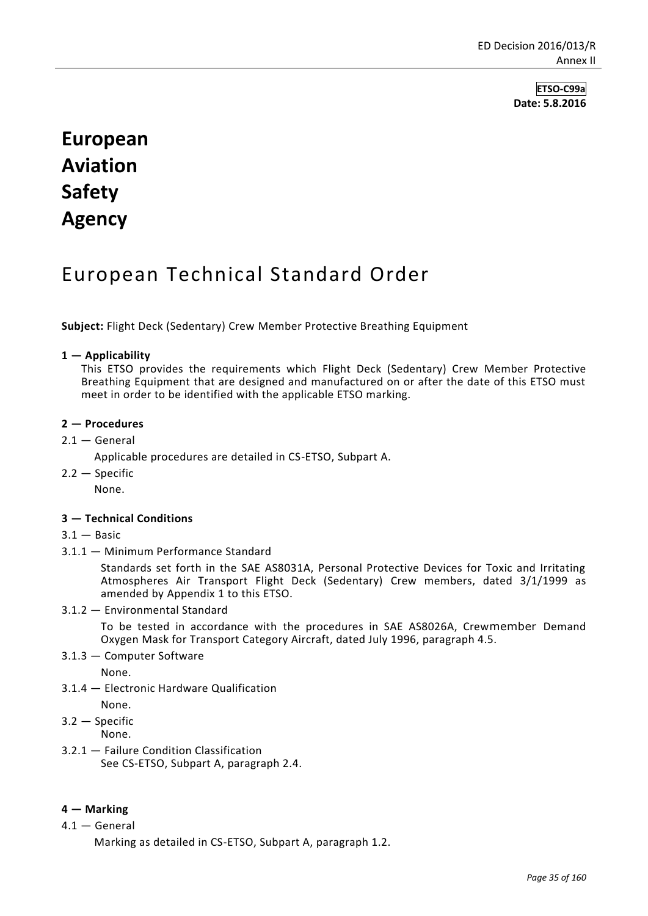**ETSO-C99a Date: 5.8.2016**

# **European Aviation Safety Agency**

# European Technical Standard Order

**Subject:** Flight Deck (Sedentary) Crew Member Protective Breathing Equipment

#### **1 — Applicability**

This ETSO provides the requirements which Flight Deck (Sedentary) Crew Member Protective Breathing Equipment that are designed and manufactured on or after the date of this ETSO must meet in order to be identified with the applicable ETSO marking.

#### **2 — Procedures**

 $2.1 -$  General

Applicable procedures are detailed in CS-ETSO, Subpart A.

2.2 — Specific

None.

### **3 — Technical Conditions**

- $3.1 -$  Basic
- 3.1.1 Minimum Performance Standard

Standards set forth in the SAE AS8031A, Personal Protective Devices for Toxic and Irritating Atmospheres Air Transport Flight Deck (Sedentary) Crew members, dated 3/1/1999 as amended by Appendix 1 to this ETSO.

3.1.2 — Environmental Standard

To be tested in accordance with the procedures in SAE AS8026A, Crewmember Demand Oxygen Mask for Transport Category Aircraft, dated July 1996, paragraph 4.5.

3.1.3 — Computer Software

None.

- 3.1.4 Electronic Hardware Qualification
- None.

3.2 — Specific None.

3.2.1 — Failure Condition Classification See CS-ETSO, Subpart A, paragraph 2.4.

### **4 — Marking**

4.1 — General

Marking as detailed in CS-ETSO, Subpart A, paragraph 1.2.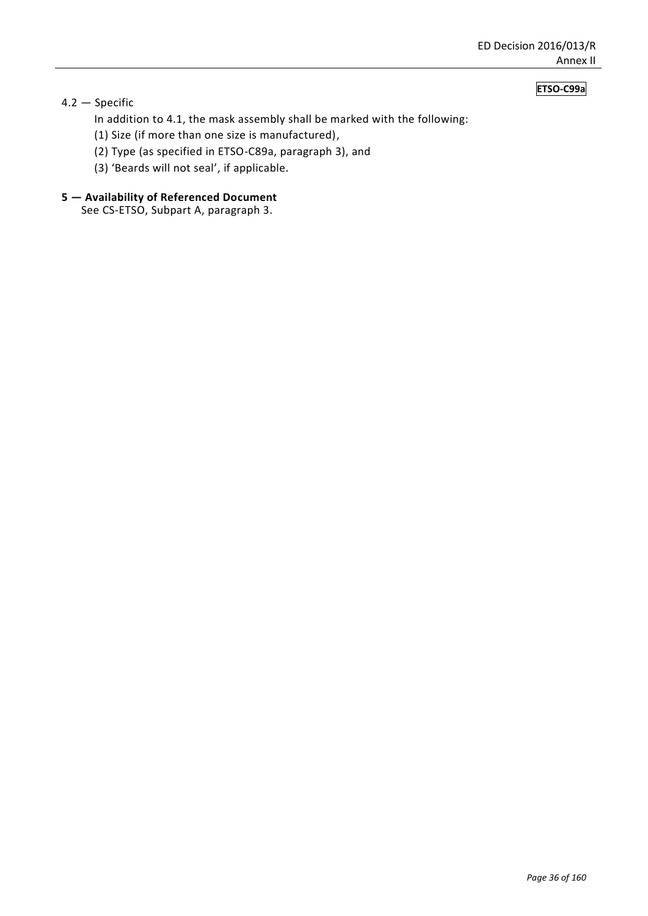### **ETSO-C99a**

## 4.2 — Specific

In addition to 4.1, the mask assembly shall be marked with the following:

- (1) Size (if more than one size is manufactured),
- (2) Type (as specified in ETSO-C89a, paragraph 3), and
- (3) 'Beards will not seal', if applicable.

# **5 — Availability of Referenced Document**

See CS-ETSO, Subpart A, paragraph 3.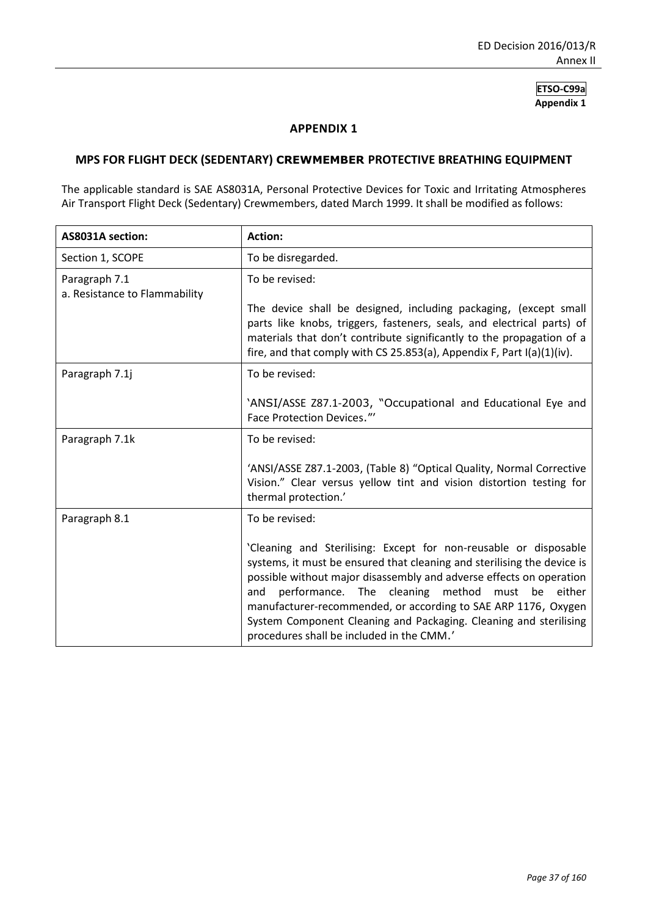**ETSO-C99a Appendix 1**

#### **APPENDIX 1**

#### **MPS FOR FLIGHT DECK (SEDENTARY) CREWMEMBER PROTECTIVE BREATHING EQUIPMENT**

The applicable standard is SAE AS8031A, Personal Protective Devices for Toxic and Irritating Atmospheres Air Transport Flight Deck (Sedentary) Crewmembers, dated March 1999. It shall be modified as follows:

| AS8031A section:                               | <b>Action:</b>                                                                                                                                                                                                                                                                                                                                                                                                                                                            |
|------------------------------------------------|---------------------------------------------------------------------------------------------------------------------------------------------------------------------------------------------------------------------------------------------------------------------------------------------------------------------------------------------------------------------------------------------------------------------------------------------------------------------------|
| Section 1, SCOPE                               | To be disregarded.                                                                                                                                                                                                                                                                                                                                                                                                                                                        |
| Paragraph 7.1<br>a. Resistance to Flammability | To be revised:                                                                                                                                                                                                                                                                                                                                                                                                                                                            |
|                                                | The device shall be designed, including packaging, (except small<br>parts like knobs, triggers, fasteners, seals, and electrical parts) of<br>materials that don't contribute significantly to the propagation of a<br>fire, and that comply with CS 25.853(a), Appendix F, Part I(a)(1)(iv).                                                                                                                                                                             |
| Paragraph 7.1j                                 | To be revised:                                                                                                                                                                                                                                                                                                                                                                                                                                                            |
|                                                | 'ANSI/ASSE Z87.1-2003, "Occupational and Educational Eye and<br>Face Protection Devices."                                                                                                                                                                                                                                                                                                                                                                                 |
| Paragraph 7.1k                                 | To be revised:                                                                                                                                                                                                                                                                                                                                                                                                                                                            |
|                                                | 'ANSI/ASSE Z87.1-2003, (Table 8) "Optical Quality, Normal Corrective<br>Vision." Clear versus yellow tint and vision distortion testing for<br>thermal protection.'                                                                                                                                                                                                                                                                                                       |
| Paragraph 8.1                                  | To be revised:                                                                                                                                                                                                                                                                                                                                                                                                                                                            |
|                                                | 'Cleaning and Sterilising: Except for non-reusable or disposable<br>systems, it must be ensured that cleaning and sterilising the device is<br>possible without major disassembly and adverse effects on operation<br>performance. The cleaning<br>method must<br>be<br>either<br>and<br>manufacturer-recommended, or according to SAE ARP 1176, Oxygen<br>System Component Cleaning and Packaging. Cleaning and sterilising<br>procedures shall be included in the CMM.' |